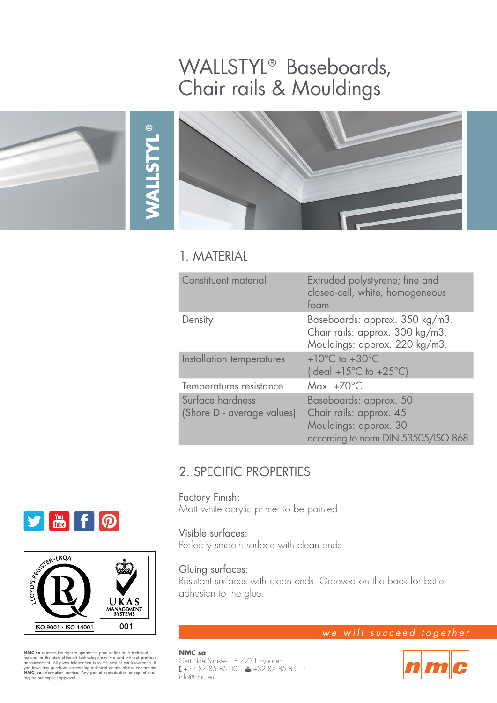## WALLSTYL® Baseboards, Chair rails & Mouldings





## 1. MATERIAL

**WALLSTYL**

**®**

| Constituent material                           | Extruded polystyrene; fine and<br>closed-cell, white, homogeneous<br>foam                                         |
|------------------------------------------------|-------------------------------------------------------------------------------------------------------------------|
| Density                                        | Baseboards: approx. 350 kg/m3.<br>Chair rails: approx. 300 kg/m3.<br>Mouldings: approx. 220 kg/m3.                |
| Installation temperatures                      | $+10^{\circ}$ C to $+30^{\circ}$ C<br>(ideal +15 $^{\circ}$ C to +25 $^{\circ}$ C)                                |
| Temperatures resistance                        | Max. $+70^{\circ}$ C                                                                                              |
| Surface hardness<br>(Shore D - average values) | Baseboards: approx. 50<br>Chair rails: approx. 45<br>Mouldings: approx. 30<br>according to norm DIN 53505/ISO 868 |

## 2. SPECIFIC PROPERTIES

#### Factory Finish:

Matt white acrylic primer to be painted.

## Visible surfaces:

Perfectly smooth surface with clean ends

## Gluing surfaces:

Resistant surfaces with clean ends. Grooved on the back for better adhesion to the glue.

# **SIMITIO**



**NMC sa** reserves the right to update the product line or its technical features to the state-of-heart enchology anytime and without previous announcement. All given information is to the best of our knowledge. If you have

## we will succeed together

**NMC sa** Gert-Noël-Strasse – B-4731 Eynatten +32 87 85 85 00 – +32 87 85 85 11 info@nmc.eu

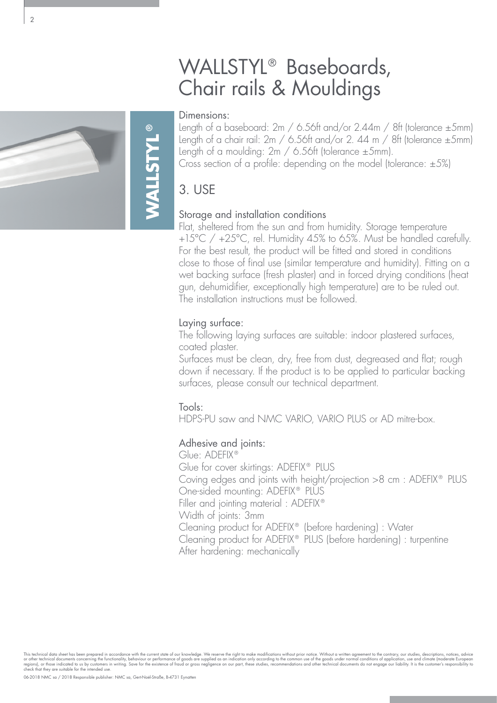## WALLSTYL<sup>®</sup> Baseboards, Chair rails & Mouldings

#### Dimensions:

Length of a baseboard: 2m / 6.56ft and/or 2.44m / 8ft (tolerance ±5mm) Length of a chair rail:  $2m / 6.56$ ft and/or 2. 44 m / 8ft (tolerance  $\pm 5$ mm) Length of a moulding: 2m / 6.56ft (tolerance ±5mm). Cross section of a profile: depending on the model (tolerance:  $\pm 5\%$ )

## 3. USE

### Storage and installation conditions

Flat, sheltered from the sun and from humidity. Storage temperature +15°C / +25°C, rel. Humidity 45% to 65%. Must be handled carefully. For the best result, the product will be fitted and stored in conditions close to those of final use (similar temperature and humidity). Fitting on a wet backing surface (fresh plaster) and in forced drying conditions (heat gun, dehumidifier, exceptionally high temperature) are to be ruled out. The installation instructions must be followed.

### Laying surface:

The following laying surfaces are suitable: indoor plastered surfaces, coated plaster.

Surfaces must be clean, dry, free from dust, degreased and flat; rough down if necessary. If the product is to be applied to particular backing surfaces, please consult our technical department.

#### Tools:

HDPS-PU saw and NMC VARIO, VARIO PLUS or AD mitre-box.

## Adhesive and joints:

Glue: ADEFIX® Glue for cover skirtings: ADEFIX® PLUS Coving edges and joints with height/projection >8 cm : ADEFIX® PLUS One-sided mounting: ADEFIX<sup>®</sup> PLUS Filler and jointing material : ADEFIX® Width of joints: 3mm Cleaning product for ADEFIX® (before hardening) : Water Cleaning product for ADEFIX® PLUS (before hardening) : turpentine After hardening: mechanically